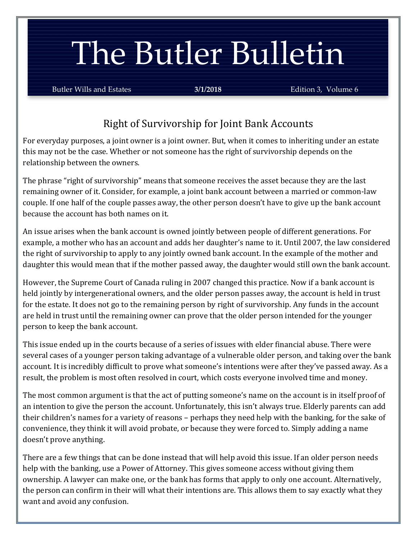# The Butler Bulletin

Butler Wills and Estates **3/1/2018** Edition 3, Volume 6

## Right of Survivorship for Joint Bank Accounts

For everyday purposes, a joint owner is a joint owner. But, when it comes to inheriting under an estate this may not be the case. Whether or not someone has the right of survivorship depends on the relationship between the owners.

The phrase "right of survivorship" means that someone receives the asset because they are the last remaining owner of it. Consider, for example, a joint bank account between a married or common-law couple. If one half of the couple passes away, the other person doesn't have to give up the bank account because the account has both names on it.

An issue arises when the bank account is owned jointly between people of different generations. For example, a mother who has an account and adds her daughter's name to it. Until 2007, the law considered the right of survivorship to apply to any jointly owned bank account. In the example of the mother and daughter this would mean that if the mother passed away, the daughter would still own the bank account.

However, the Supreme Court of Canada ruling in 2007 changed this practice. Now if a bank account is held jointly by intergenerational owners, and the older person passes away, the account is held in trust for the estate. It does not go to the remaining person by right of survivorship. Any funds in the account are held in trust until the remaining owner can prove that the older person intended for the younger person to keep the bank account.

This issue ended up in the courts because of a series of issues with elder financial abuse. There were several cases of a younger person taking advantage of a vulnerable older person, and taking over the bank account. It is incredibly difficult to prove what someone's intentions were after they've passed away. As a result, the problem is most often resolved in court, which costs everyone involved time and money.

The most common argument is that the act of putting someone's name on the account is in itself proof of an intention to give the person the account. Unfortunately, this isn't always true. Elderly parents can add their children's names for a variety of reasons – perhaps they need help with the banking, for the sake of convenience, they think it will avoid probate, or because they were forced to. Simply adding a name doesn't prove anything.

There are a few things that can be done instead that will help avoid this issue. If an older person needs help with the banking, use a Power of Attorney. This gives someone access without giving them ownership. A lawyer can make one, or the bank has forms that apply to only one account. Alternatively, the person can confirm in their will what their intentions are. This allows them to say exactly what they want and avoid any confusion.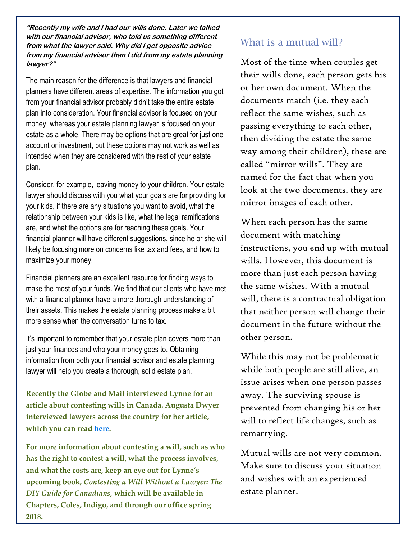**"Recently my wife and I had our wills done. Later we talked with our financial advisor, who told us something different from what the lawyer said. Why did I get opposite advice from my financial advisor than I did from my estate planning lawyer?"**

The main reason for the difference is that lawyers and financial planners have different areas of expertise. The information you got from your financial advisor probably didn't take the entire estate plan into consideration. Your financial advisor is focused on your money, whereas your estate planning lawyer is focused on your estate as a whole. There may be options that are great for just one account or investment, but these options may not work as well as intended when they are considered with the rest of your estate plan.

Consider, for example, leaving money to your children. Your estate lawyer should discuss with you what your goals are for providing for your kids, if there are any situations you want to avoid, what the relationship between your kids is like, what the legal ramifications are, and what the options are for reaching these goals. Your financial planner will have different suggestions, since he or she will likely be focusing more on concerns like tax and fees, and how to maximize your money.

Financial planners are an excellent resource for finding ways to make the most of your funds. We find that our clients who have met with a financial planner have a more thorough understanding of their assets. This makes the estate planning process make a bit more sense when the conversation turns to tax.

It's important to remember that your estate plan covers more than just your finances and who your money goes to. Obtaining information from both your financial advisor and estate planning lawyer will help you create a thorough, solid estate plan.

**Recently the Globe and Mail interviewed Lynne for an article about contesting wills in Canada. Augusta Dwyer interviewed lawyers across the country for her article, which you can read [here.](https://www.theglobeandmail.com/globe-investor/globe-wealth/left-out-of-the-will-here-are-your-options/article38110891/)**

**For more information about contesting a will, such as who has the right to contest a will, what the process involves, and what the costs are, keep an eye out for Lynne's upcoming book,** *Contesting a Will Without a Lawyer: The DIY Guide for Canadians,* **which will be available in Chapters, Coles, Indigo, and through our office spring 2018.**

## What is a mutual will?

Most of the time when couples get their wills done, each person gets his or her own document. When the documents match (i.e. they each reflect the same wishes, such as passing everything to each other, then dividing the estate the same way among their children), these are called "mirror wills". They are named for the fact that when you look at the two documents, they are mirror images of each other.

When each person has the same document with matching instructions, you end up with mutual wills. However, this document is more than just each person having the same wishes. With a mutual will, there is a contractual obligation that neither person will change their document in the future without the other person.

While this may not be problematic while both people are still alive, an issue arises when one person passes away. The surviving spouse is prevented from changing his or her will to reflect life changes, such as remarrying.

Mutual wills are not very common. Make sure to discuss your situation and wishes with an experienced estate planner.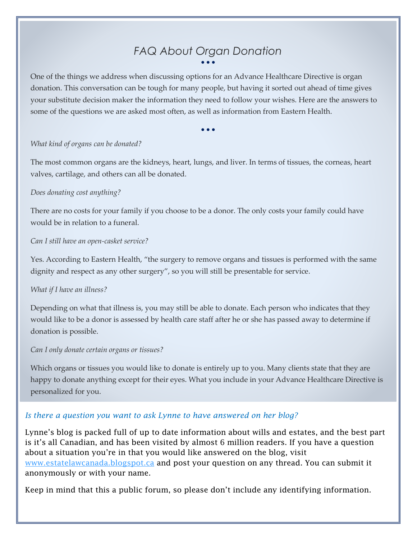### *FAQ About Organ Donation* • • •

One of the things we address when discussing options for an Advance Healthcare Directive is organ donation. This conversation can be tough for many people, but having it sorted out ahead of time gives your substitute decision maker the information they need to follow your wishes. Here are the answers to some of the questions we are asked most often, as well as information from Eastern Health.

• • •

#### *What kind of organs can be donated?*

The most common organs are the kidneys, heart, lungs, and liver. In terms of tissues, the corneas, heart valves, cartilage, and others can all be donated.

#### *Does donating cost anything?*

There are no costs for your family if you choose to be a donor. The only costs your family could have would be in relation to a funeral.

#### *Can I still have an open-casket service?*

Yes. According to Eastern Health, "the surgery to remove organs and tissues is performed with the same dignity and respect as any other surgery", so you will still be presentable for service.

#### *What if I have an illness?*

Depending on what that illness is, you may still be able to donate. Each person who indicates that they would like to be a donor is assessed by health care staff after he or she has passed away to determine if donation is possible.

#### *Can I only donate certain organs or tissues?*

Which organs or tissues you would like to donate is entirely up to you. Many clients state that they are happy to donate anything except for their eyes. What you include in your Advance Healthcare Directive is personalized for you.

#### *Is there a question you want to ask Lynne to have answered on her blog?*

Lynne's blog is packed full of up to date information about wills and estates, and the best part is it's all Canadian, and has been visited by almost 6 million readers. If you have a question about a situation you're in that you would like answered on the blog, visit [www.estatelawcanada.blogspot.ca](http://www.estatelawcanada.blogspot.ca/) and post your question on any thread. You can submit it anonymously or with your name.

Keep in mind that this a public forum, so please don't include any identifying information.